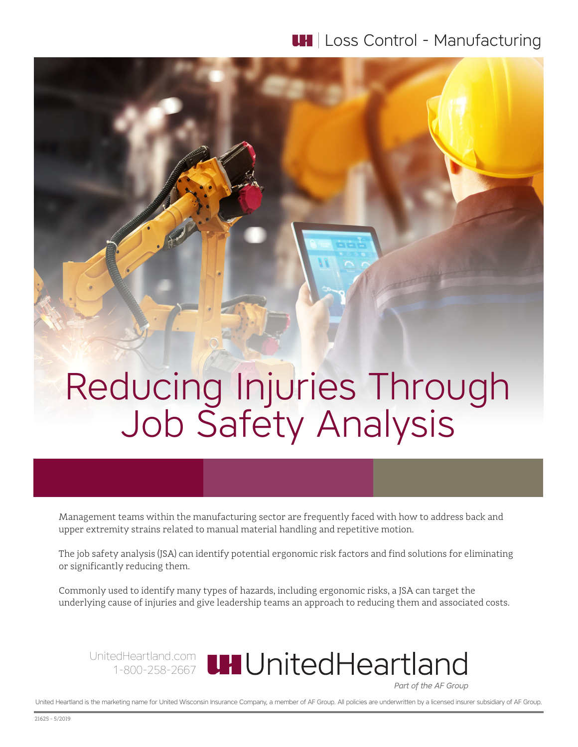## **LH** | Loss Control - Manufacturing

# Reducing Injuries Through Job Safety Analysis

Management teams within the manufacturing sector are frequently faced with how to address back and upper extremity strains related to manual material handling and repetitive motion.

The job safety analysis (JSA) can identify potential ergonomic risk factors and find solutions for eliminating or significantly reducing them.

Commonly used to identify many types of hazards, including ergonomic risks, a JSA can target the underlying cause of injuries and give leadership teams an approach to reducing them and associated costs.

UnitedHeartland.com 1-800-258-2667 Part of the AF Group

United Heartland is the marketing name for United Wisconsin Insurance Company, a member of AF Group. All policies are underwritten by a licensed insurer subsidiary of AF Group.